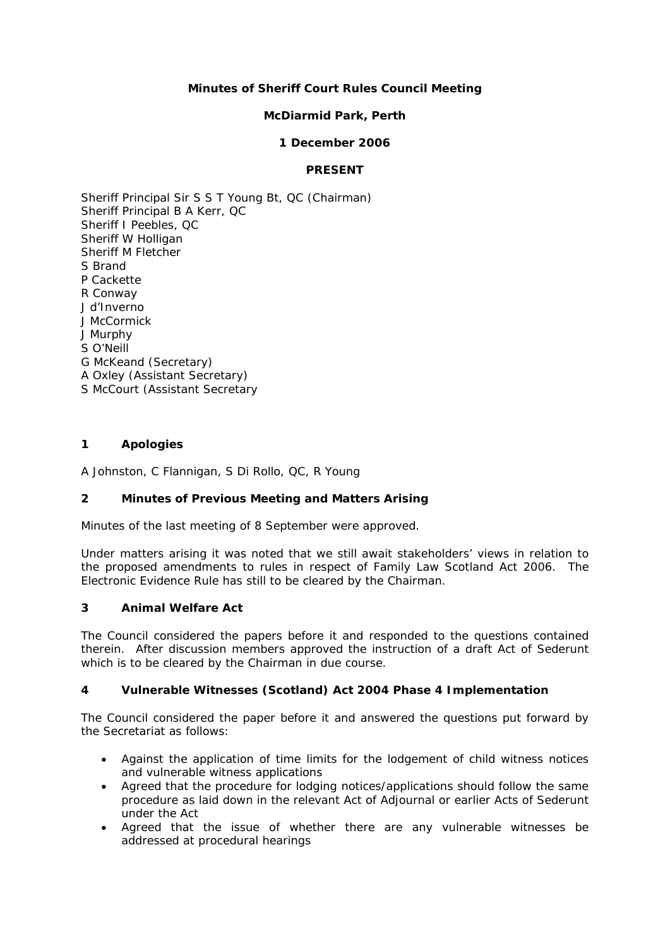## **Minutes of Sheriff Court Rules Council Meeting**

## **McDiarmid Park, Perth**

### **1 December 2006**

## **PRESENT**

Sheriff Principal Sir S S T Young Bt, QC (Chairman) Sheriff Principal B A Kerr, QC Sheriff I Peebles, QC Sheriff W Holligan Sheriff M Fletcher S Brand P Cackette R Conway J d'Inverno J McCormick J Murphy S O'Neill G McKeand (Secretary) A Oxley (Assistant Secretary) S McCourt (Assistant Secretary

### **1 Apologies**

A Johnston, C Flannigan, S Di Rollo, QC, R Young

### **2 Minutes of Previous Meeting and Matters Arising**

Minutes of the last meeting of 8 September were approved.

Under matters arising it was noted that we still await stakeholders' views in relation to the proposed amendments to rules in respect of Family Law Scotland Act 2006. The Electronic Evidence Rule has still to be cleared by the Chairman.

### **3 Animal Welfare Act**

The Council considered the papers before it and responded to the questions contained therein. After discussion members approved the instruction of a draft Act of Sederunt which is to be cleared by the Chairman in due course.

### **4 Vulnerable Witnesses (Scotland) Act 2004 Phase 4 Implementation**

The Council considered the paper before it and answered the questions put forward by the Secretariat as follows:

- Against the application of time limits for the lodgement of child witness notices and vulnerable witness applications
- Agreed that the procedure for lodging notices/applications should follow the same procedure as laid down in the relevant Act of Adjournal or earlier Acts of Sederunt under the Act
- Agreed that the issue of whether there are any vulnerable witnesses be addressed at procedural hearings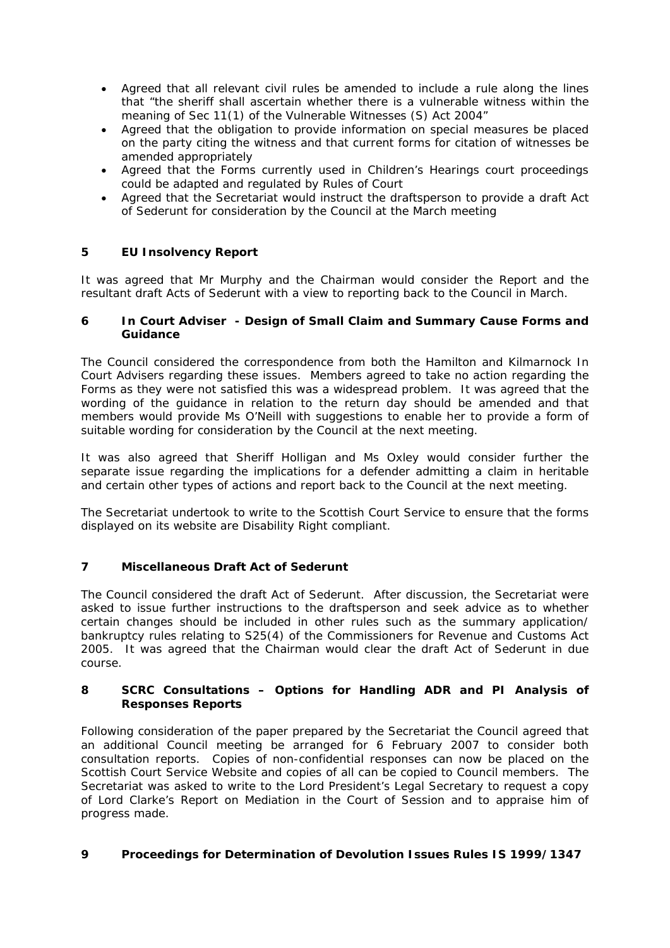- Agreed that all relevant civil rules be amended to include a rule along the lines that "the sheriff shall ascertain whether there is a vulnerable witness within the meaning of Sec 11(1) of the Vulnerable Witnesses (S) Act 2004"
- Agreed that the obligation to provide information on special measures be placed on the party citing the witness and that current forms for citation of witnesses be amended appropriately
- Agreed that the Forms currently used in Children's Hearings court proceedings could be adapted and regulated by Rules of Court
- Agreed that the Secretariat would instruct the draftsperson to provide a draft Act of Sederunt for consideration by the Council at the March meeting

# **5 EU Insolvency Report**

It was agreed that Mr Murphy and the Chairman would consider the Report and the resultant draft Acts of Sederunt with a view to reporting back to the Council in March.

### **6 In Court Adviser - Design of Small Claim and Summary Cause Forms and Guidance**

The Council considered the correspondence from both the Hamilton and Kilmarnock In Court Advisers regarding these issues. Members agreed to take no action regarding the Forms as they were not satisfied this was a widespread problem. It was agreed that the wording of the guidance in relation to the return day should be amended and that members would provide Ms O'Neill with suggestions to enable her to provide a form of suitable wording for consideration by the Council at the next meeting.

It was also agreed that Sheriff Holligan and Ms Oxley would consider further the separate issue regarding the implications for a defender admitting a claim in heritable and certain other types of actions and report back to the Council at the next meeting.

The Secretariat undertook to write to the Scottish Court Service to ensure that the forms displayed on its website are Disability Right compliant.

# **7 Miscellaneous Draft Act of Sederunt**

The Council considered the draft Act of Sederunt. After discussion, the Secretariat were asked to issue further instructions to the draftsperson and seek advice as to whether certain changes should be included in other rules such as the summary application/ bankruptcy rules relating to S25(4) of the Commissioners for Revenue and Customs Act 2005. It was agreed that the Chairman would clear the draft Act of Sederunt in due course.

### **8 SCRC Consultations – Options for Handling ADR and PI Analysis of Responses Reports**

Following consideration of the paper prepared by the Secretariat the Council agreed that an additional Council meeting be arranged for 6 February 2007 to consider both consultation reports. Copies of non-confidential responses can now be placed on the Scottish Court Service Website and copies of all can be copied to Council members. The Secretariat was asked to write to the Lord President's Legal Secretary to request a copy of Lord Clarke's Report on Mediation in the Court of Session and to appraise him of progress made.

# **9 Proceedings for Determination of Devolution Issues Rules IS 1999/1347**